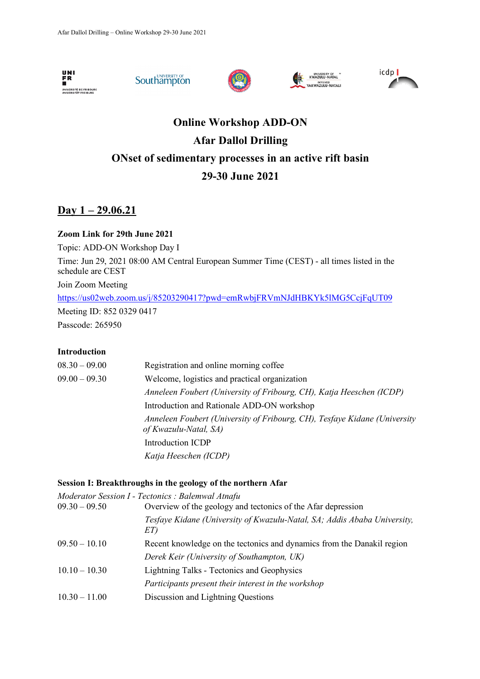









# **Online Workshop ADD-ON Afar Dallol Drilling ONset of sedimentary processes in an active rift basin 29-30 June 2021**

### **Day 1 – 29.06.21**

### **Zoom Link for 29th June 2021**

Topic: ADD-ON Workshop Day I Time: Jun 29, 2021 08:00 AM Central European Summer Time (CEST) - all times listed in the schedule are CEST Join Zoom Meeting https://us02web.zoom.us/j/85203290417?pwd=emRwbjFRVmNJdHBKYk5lMG5CcjFqUT09 Meeting ID: 852 0329 0417 Passcode: 265950

### **Introduction**

| $08.30 - 09.00$ | Registration and online morning coffee                                                             |
|-----------------|----------------------------------------------------------------------------------------------------|
| $09.00 - 09.30$ | Welcome, logistics and practical organization                                                      |
|                 | Anneleen Foubert (University of Fribourg, CH), Katja Heeschen (ICDP)                               |
|                 | Introduction and Rationale ADD-ON workshop                                                         |
|                 | Anneleen Foubert (University of Fribourg, CH), Tesfaye Kidane (University<br>of Kwazulu-Natal, SA) |
|                 | Introduction ICDP                                                                                  |
|                 | Katja Heeschen (ICDP)                                                                              |

### **Session I: Breakthroughs in the geology of the northern Afar**

|                 | Moderator Session I - Tectonics : Balemwal Atnafu                               |
|-----------------|---------------------------------------------------------------------------------|
| $09.30 - 09.50$ | Overview of the geology and tectonics of the Afar depression                    |
|                 | Tesfaye Kidane (University of Kwazulu-Natal, SA; Addis Ababa University,<br>ET) |
| $09.50 - 10.10$ | Recent knowledge on the tectonics and dynamics from the Danakil region          |
|                 | Derek Keir (University of Southampton, UK)                                      |
| $10.10 - 10.30$ | <b>Lightning Talks - Tectonics and Geophysics</b>                               |
|                 | Participants present their interest in the workshop                             |
| $10.30 - 11.00$ | Discussion and Lightning Questions                                              |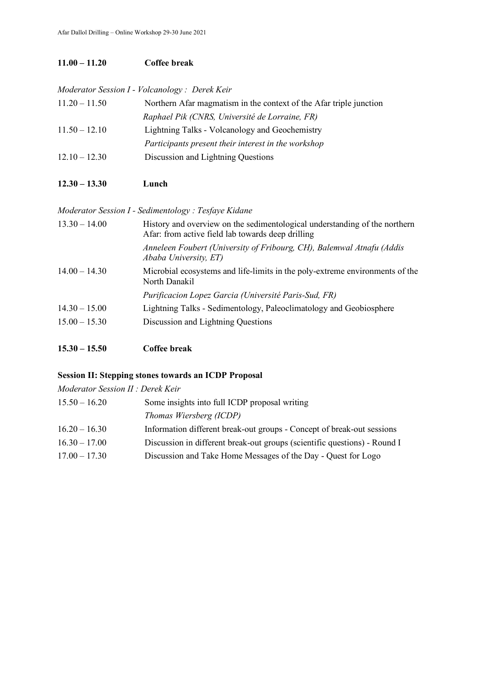### **11.00 – 11.20 Coffee break**

*Moderator Session I - Volcanology : Derek Keir*

| $11.20 - 11.50$ | Northern Afar magmatism in the context of the Afar triple junction |
|-----------------|--------------------------------------------------------------------|
|                 | Raphael Pik (CNRS, Université de Lorraine, FR)                     |
| $11.50 - 12.10$ | Lightning Talks - Volcanology and Geochemistry                     |
|                 | Participants present their interest in the workshop                |
| $12.10 - 12.30$ | Discussion and Lightning Questions                                 |

**12.30 – 13.30 Lunch**

| Moderator Session I - Sedimentology : Tesfaye Kidane |                                                                                                                                 |
|------------------------------------------------------|---------------------------------------------------------------------------------------------------------------------------------|
| $13.30 - 14.00$                                      | History and overview on the sedimentological understanding of the northern<br>Afar: from active field lab towards deep drilling |
|                                                      | Anneleen Foubert (University of Fribourg, CH), Balemwal Atnafu (Addis<br>Ababa University, ET)                                  |
| $14.00 - 14.30$                                      | Microbial ecosystems and life-limits in the poly-extreme environments of the<br>North Danakil                                   |
|                                                      | Purificacion Lopez Garcia (Université Paris-Sud, FR)                                                                            |
| $14.30 - 15.00$                                      | Lightning Talks - Sedimentology, Paleoclimatology and Geobiosphere                                                              |
| $15.00 - 15.30$                                      | Discussion and Lightning Questions                                                                                              |

**15.30 – 15.50 Coffee break** 

### **Session II: Stepping stones towards an ICDP Proposal**

| Moderator Session II : Derek Keir |                                                                           |
|-----------------------------------|---------------------------------------------------------------------------|
| $15.50 - 16.20$                   | Some insights into full ICDP proposal writing                             |
|                                   | Thomas Wiersberg (ICDP)                                                   |
| $16.20 - 16.30$                   | Information different break-out groups - Concept of break-out sessions    |
| $16.30 - 17.00$                   | Discussion in different break-out groups (scientific questions) - Round I |
| $17.00 - 17.30$                   | Discussion and Take Home Messages of the Day - Quest for Logo             |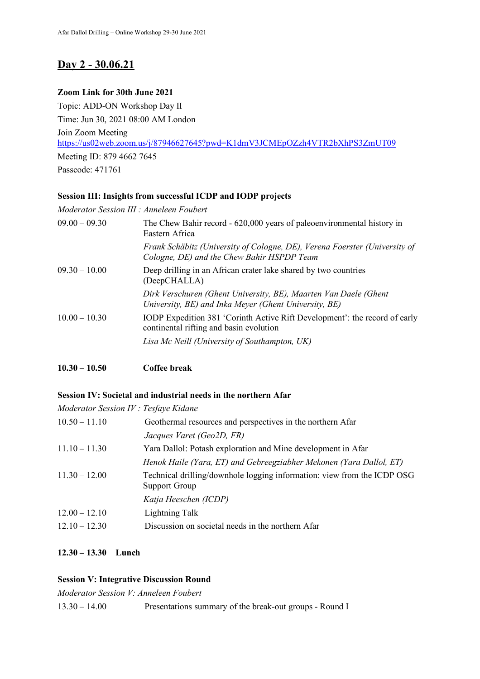## **Day 2 - 30.06.21**

### **Zoom Link for 30th June 2021**

Topic: ADD-ON Workshop Day II Time: Jun 30, 2021 08:00 AM London Join Zoom Meeting https://us02web.zoom.us/j/87946627645?pwd=K1dmV3JCMEpOZzh4VTR2bXhPS3ZmUT09 Meeting ID: 879 4662 7645 Passcode: 471761

### **Session III: Insights from successful ICDP and IODP projects**

*Moderator Session III : Anneleen Foubert*

| $09.00 - 09.30$ | The Chew Bahir record - 620,000 years of paleoenvironmental history in<br>Eastern Africa                                  |
|-----------------|---------------------------------------------------------------------------------------------------------------------------|
|                 | Frank Schäbitz (University of Cologne, DE), Verena Foerster (University of<br>Cologne, DE) and the Chew Bahir HSPDP Team  |
| $09.30 - 10.00$ | Deep drilling in an African crater lake shared by two countries<br>(DeepCHALLA)                                           |
|                 | Dirk Verschuren (Ghent University, BE), Maarten Van Daele (Ghent<br>University, BE) and Inka Meyer (Ghent University, BE) |
| $10.00 - 10.30$ | IODP Expedition 381 'Corinth Active Rift Development': the record of early<br>continental rifting and basin evolution     |
|                 | Lisa Mc Neill (University of Southampton, UK)                                                                             |

**10.30 – 10.50 Coffee break** 

### **Session IV: Societal and industrial needs in the northern Afar**

*Moderator Session IV : Tesfaye Kidane*

| $10.50 - 11.10$ | Geothermal resources and perspectives in the northern Afar                                      |
|-----------------|-------------------------------------------------------------------------------------------------|
|                 | Jacques Varet (Geo2D, FR)                                                                       |
| $11.10 - 11.30$ | Yara Dallol: Potash exploration and Mine development in Afar                                    |
|                 | Henok Haile (Yara, ET) and Gebreegziabher Mekonen (Yara Dallol, ET)                             |
| $11.30 - 12.00$ | Technical drilling/downhole logging information: view from the ICDP OSG<br><b>Support Group</b> |
|                 | Katja Heeschen (ICDP)                                                                           |
| $12.00 - 12.10$ | Lightning Talk                                                                                  |
| $12.10 - 12.30$ | Discussion on societal needs in the northern Afar                                               |

### **12.30 – 13.30 Lunch**

### **Session V: Integrative Discussion Round**

*Moderator Session V: Anneleen Foubert*

13.30 – 14.00 Presentations summary of the break-out groups - Round I